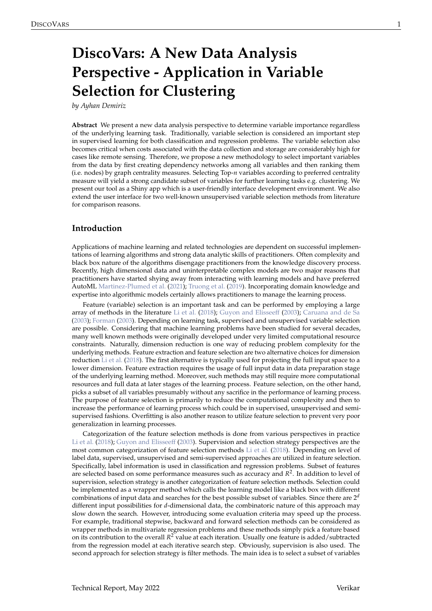# <span id="page-0-1"></span><span id="page-0-0"></span>**DiscoVars: A New Data Analysis Perspective - Application in Variable Selection for Clustering**

*by Ayhan Demiriz*

**Abstract** We present a new data analysis perspective to determine variable importance regardless of the underlying learning task. Traditionally, variable selection is considered an important step in supervised learning for both classification and regression problems. The variable selection also becomes critical when costs associated with the data collection and storage are considerably high for cases like remote sensing. Therefore, we propose a new methodology to select important variables from the data by first creating dependency networks among all variables and then ranking them (i.e. nodes) by graph centrality measures. Selecting Top-*n* variables according to preferred centrality measure will yield a strong candidate subset of variables for further learning tasks e.g. clustering. We present our tool as a Shiny app which is a user-friendly interface development environment. We also extend the user interface for two well-known unsupervised variable selection methods from literature for comparison reasons.

#### **Introduction**

Applications of machine learning and related technologies are dependent on successful implementations of learning algorithms and strong data analytic skills of practitioners. Often complexity and black box nature of the algorithms disengage practitioners from the knowledge discovery process. Recently, high dimensional data and uninterpretable complex models are two major reasons that practitioners have started shying away from interacting with learning models and have preferred AutoML [Martinez-Plumed et al.](#page-12-0) [\(2021\)](#page-12-0); [Truong et al.](#page-12-1) [\(2019\)](#page-12-1). Incorporating domain knowledge and expertise into algorithmic models certainly allows practitioners to manage the learning process.

Feature (variable) selection is an important task and can be performed by employing a large array of methods in the literature [Li et al.](#page-12-2) [\(2018\)](#page-12-2); [Guyon and Elisseeff](#page-11-0) [\(2003\)](#page-11-0); [Caruana and de Sa](#page-11-1) [\(2003\)](#page-11-1); [Forman](#page-11-2) [\(2003\)](#page-11-2). Depending on learning task, supervised and unsupervised variable selection are possible. Considering that machine learning problems have been studied for several decades, many well known methods were originally developed under very limited computational resource constraints. Naturally, dimension reduction is one way of reducing problem complexity for the underlying methods. Feature extraction and feature selection are two alternative choices for dimension reduction [Li et al.](#page-12-2) [\(2018\)](#page-12-2). The first alternative is typically used for projecting the full input space to a lower dimension. Feature extraction requires the usage of full input data in data preparation stage of the underlying learning method. Moreover, such methods may still require more computational resources and full data at later stages of the learning process. Feature selection, on the other hand, picks a subset of all variables presumably without any sacrifice in the performance of learning process. The purpose of feature selection is primarily to reduce the computational complexity and then to increase the performance of learning process which could be in supervised, unsupervised and semisupervised fashions. Overfitting is also another reason to utilize feature selection to prevent very poor generalization in learning processes.

Categorization of the feature selection methods is done from various perspectives in practice [Li et al.](#page-12-2) [\(2018\)](#page-12-2); [Guyon and Elisseeff](#page-11-0) [\(2003\)](#page-11-0). Supervision and selection strategy perspectives are the most common categorization of feature selection methods [Li et al.](#page-12-2) [\(2018\)](#page-12-2). Depending on level of label data, supervised, unsupervised and semi-supervised approaches are utilized in feature selection. Specifically, label information is used in classification and regression problems. Subset of features are selected based on some performance measures such as accuracy and *R* 2 . In addition to level of supervision, selection strategy is another categorization of feature selection methods. Selection could be implemented as a wrapper method which calls the learning model like a black box with different combinations of input data and searches for the best possible subset of variables. Since there are 2 *d* different input possibilities for *d*-dimensional data, the combinatoric nature of this approach may slow down the search. However, introducing some evaluation criteria may speed up the process. For example, traditional stepwise, backward and forward selection methods can be considered as wrapper methods in multivariate regression problems and these methods simply pick a feature based on its contribution to the overall *R* <sup>2</sup> value at each iteration. Usually one feature is added/subtracted from the regression model at each iterative search step. Obviously, supervision is also used. The second approach for selection strategy is filter methods. The main idea is to select a subset of variables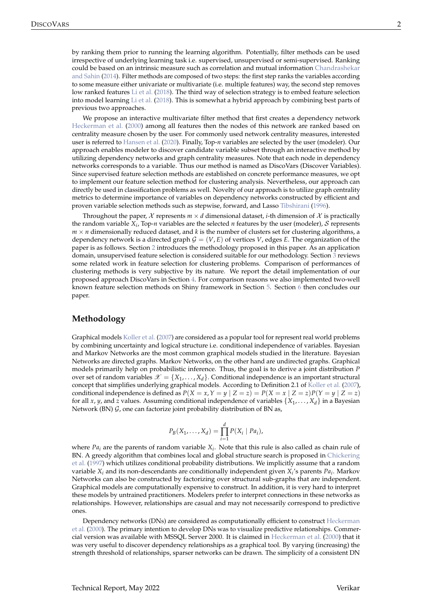<span id="page-1-1"></span>irrespective of underlying learning task i.e. supervised, unsupervised or semi-supervised. Ranking could be based on an intrinsic measure such as correlation and mutual information [Chandrashekar](#page-11-3) [and Sahin](#page-11-3) [\(2014\)](#page-11-3). Filter methods are composed of two steps: the first step ranks the variables according to some measure either univariate or multivariate (i.e. multiple features) way, the second step removes low ranked features [Li et al.](#page-12-2) [\(2018\)](#page-12-2). The third way of selection strategy is to embed feature selection into model learning [Li et al.](#page-12-2) [\(2018\)](#page-12-2). This is somewhat a hybrid approach by combining best parts of previous two approaches.

We propose an interactive multivariate filter method that first creates a dependency network [Heckerman et al.](#page-12-3) [\(2000\)](#page-12-3) among all features then the nodes of this network are ranked based on centrality measure chosen by the user. For commonly used network centrality measures, interested user is referred to [Hansen et al.](#page-11-4) [\(2020\)](#page-11-4). Finally, Top-*n* variables are selected by the user (modeler). Our approach enables modeler to discover candidate variable subset through an interactive method by utilizing dependency networks and graph centrality measures. Note that each node in dependency networks corresponds to a variable. Thus our method is named as DiscoVars (Discover Variables). Since supervised feature selection methods are established on concrete performance measures, we opt to implement our feature selection method for clustering analysis. Nevertheless, our approach can directly be used in classification problems as well. Novelty of our approach is to utilize graph centrality metrics to determine importance of variables on dependency networks constructed by efficient and proven variable selection methods such as stepwise, forward, and Lasso [Tibshirani](#page-12-4) [\(1996\)](#page-12-4).

Throughout the paper,  $\chi$  represents  $m \times d$  dimensional dataset, *i*-th dimension of  $\chi$  is practically the random variable  $X_i$ , Top-*n* variables are the selected *n* features by the user (modeler), S represents  $m \times n$  dimensionally reduced dataset, and k is the number of clusters set for clustering algorithms, a dependency network is a directed graph  $G = (V, E)$  of vertices *V*, edges *E*. The organization of the paper is as follows. Section [2](#page-1-0) introduces the methodology proposed in this paper. As an application domain, unsupervised feature selection is considered suitable for our methodology. Section [3](#page-3-0) reviews some related work in feature selection for clustering problems. Comparison of performances of clustering methods is very subjective by its nature. We report the detail implementation of our proposed approach DiscoVars in Section [4.](#page-3-1) For comparison reasons we also implemented two-well known feature selection methods on Shiny framework in Section [5.](#page-8-0) Section [6](#page-11-5) then concludes our paper.

## <span id="page-1-0"></span>**Methodology**

Graphical models [Koller et al.](#page-12-5) [\(2007\)](#page-12-5) are considered as a popular tool for represent real world problems by combining uncertainty and logical structure i.e. conditional independence of variables. Bayesian and Markov Networks are the most common graphical models studied in the literature. Bayesian Networks are directed graphs. Markov Networks, on the other hand are undirected graphs. Graphical models primarily help on probabilistic inference. Thus, the goal is to derive a joint distribution *P* over set of random variables  $\mathscr{X} = \{X_1, \ldots, X_d\}$ . Conditional independence is an important structural concept that simplifies underlying graphical models. According to Definition 2.1 of [Koller et al.](#page-12-5) [\(2007\)](#page-12-5), conditional independence is defined as  $P(X = x, Y = y | Z = z) = P(X = x | Z = z)P(Y = y | Z = z)$ for all *x*, *y*, and *z* values. Assuming conditional independence of variables {*X*<sup>1</sup> , . . . , *Xd*} in a Bayesian Network (BN)  $G$ , one can factorize joint probability distribution of BN as,

$$
P_B(X_1,\ldots,X_d)=\prod_{i=1}^d P(X_i\mid Pa_i),
$$

where  $Pa_i$  are the parents of random variable  $X_i$ . Note that this rule is also called as chain rule of BN. A greedy algorithm that combines local and global structure search is proposed in [Chickering](#page-11-6) [et al.](#page-11-6) [\(1997\)](#page-11-6) which utilizes conditional probability distributions. We implicitly assume that a random variable *X<sup>i</sup>* and its non-descendants are conditionally independent given *X<sup>i</sup>* 's parents *Pa<sup>i</sup>* . Markov Networks can also be constructed by factorizing over structural sub-graphs that are independent. Graphical models are computationally expensive to construct. In addition, it is very hard to interpret these models by untrained practitioners. Modelers prefer to interpret connections in these networks as relationships. However, relationships are casual and may not necessarily correspond to predictive ones.

Dependency networks (DNs) are considered as computationally efficient to construct [Heckerman](#page-12-3) [et al.](#page-12-3) [\(2000\)](#page-12-3). The primary intention to develop DNs was to visualize predictive relationships. Commercial version was available with MSSQL Server 2000. It is claimed in [Heckerman et al.](#page-12-3) [\(2000\)](#page-12-3) that it was very useful to discover dependency relationships as a graphical tool. By varying (increasing) the strength threshold of relationships, sparser networks can be drawn. The simplicity of a consistent DN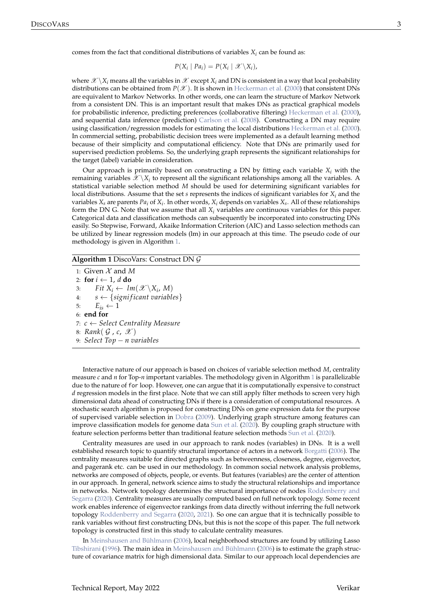<span id="page-2-1"></span>comes from the fact that conditional distributions of variables  $X_i$  can be found as:

$$
P(X_i | Pa_i) = P(X_i | \mathcal{X} \setminus X_i),
$$

where  $\mathscr{X}\setminus X_i$  means all the variables in  $\mathscr{X}$  except  $X_i$  and DN is consistent in a way that local probability distributions can be obtained from  $P(\mathscr{X})$ . It is shown in [Heckerman et al.](#page-12-3) [\(2000\)](#page-12-3) that consistent DNs are equivalent to Markov Networks. In other words, one can learn the structure of Markov Network from a consistent DN. This is an important result that makes DNs as practical graphical models for probabilistic inference, predicting preferences (collaborative filtering) [Heckerman et al.](#page-12-3) [\(2000\)](#page-12-3), and sequential data inference (prediction) [Carlson et al.](#page-11-7) [\(2008\)](#page-11-7). Constructing a DN may require using classification/regression models for estimating the local distributions [Heckerman et al.](#page-12-3) [\(2000\)](#page-12-3). In commercial setting, probabilistic decision trees were implemented as a default learning method because of their simplicity and computational efficiency. Note that DNs are primarily used for supervised prediction problems. So, the underlying graph represents the significant relationships for the target (label) variable in consideration.

Our approach is primarily based on constructing a DN by fitting each variable  $X_i$  with the remaining variables  $\mathscr{X}\backslash X_i$  to represent all the significant relationships among all the variables. A statistical variable selection method *M* should be used for determining significant variables for local distributions. Assume that the set *s* represents the indices of significant variables for *X<sup>i</sup>* and the variables *X<sup>s</sup>* are parents *Pa<sup>i</sup>* of *X<sup>i</sup>* . In other words, *X<sup>i</sup>* depends on variables *Xs*. All of these relationships form the DN G. Note that we assume that all *X<sup>i</sup>* variables are continuous variables for this paper. Categorical data and classification methods can subsequently be incorporated into constructing DNs easily. So Stepwise, Forward, Akaike Information Criterion (AIC) and Lasso selection methods can be utilized by linear regression models (lm) in our approach at this time. The pseudo code of our methodology is given in Algorithm [1.](#page-2-0)

#### <span id="page-2-0"></span>**Algorithm 1** DiscoVars: Construct DN G

1: Given  $\mathcal X$  and  $M$ 2: **for**  $i \leftarrow 1$ , *d* **do** 3: *Fit*  $X_i \leftarrow \text{Im}(\mathscr{X} \backslash X_i, M)$ 4:  $s \leftarrow \{ significant\ variables\}$ 5:  $E_{is} \leftarrow 1$ 6: **end for** 7: *c* ← *Select Centrality Measure* 8: *Rank*( G , *c*, X ) 9: *Select Top* − *n variables*

Interactive nature of our approach is based on choices of variable selection method *M*, centrality measure *c* and *n* for Top-*n* important variables. The methodology given in Algorithm [1](#page-2-0) is parallelizable due to the nature of for loop. However, one can argue that it is computationally expensive to construct *d* regression models in the first place. Note that we can still apply filter methods to screen very high dimensional data ahead of constructing DNs if there is a consideration of computational resources. A stochastic search algorithm is proposed for constructing DNs on gene expression data for the purpose of supervised variable selection in [Dobra](#page-11-8) [\(2009\)](#page-11-8). Underlying graph structure among features can improve classification models for genome data [Sun et al.](#page-12-6) [\(2020\)](#page-12-6). By coupling graph structure with feature selection performs better than traditional feature selection methods [Sun et al.](#page-12-6) [\(2020\)](#page-12-6).

Centrality measures are used in our approach to rank nodes (variables) in DNs. It is a well established research topic to quantify structural importance of actors in a network [Borgatti](#page-11-9) [\(2006\)](#page-11-9). The centrality measures suitable for directed graphs such as betweenness, closeness, degree, eigenvector, and pagerank etc. can be used in our methodology. In common social network analysis problems, networks are composed of objects, people, or events. But features (variables) are the center of attention in our approach. In general, network science aims to study the structural relationships and importance in networks. Network topology determines the structural importance of nodes [Roddenberry and](#page-12-7) [Segarra](#page-12-7) [\(2020\)](#page-12-7). Centrality measures are usually computed based on full network topology. Some recent work enables inference of eigenvector rankings from data directly without inferring the full network topology [Roddenberry and Segarra](#page-12-7) [\(2020,](#page-12-7) [2021\)](#page-12-8). So one can argue that it is technically possible to rank variables without first constructing DNs, but this is not the scope of this paper. The full network topology is constructed first in this study to calculate centrality measures.

In [Meinshausen and Bühlmann](#page-12-9) [\(2006\)](#page-12-9), local neighborhood structures are found by utilizing Lasso [Tibshirani](#page-12-4) [\(1996\)](#page-12-4). The main idea in [Meinshausen and Bühlmann](#page-12-9) [\(2006\)](#page-12-9) is to estimate the graph structure of covariance matrix for high dimensional data. Similar to our approach local dependencies are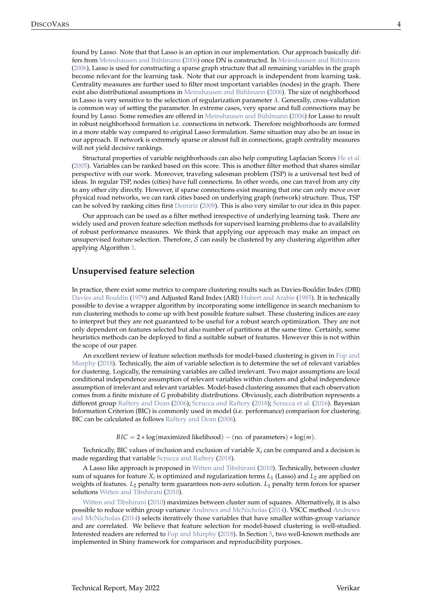<span id="page-3-2"></span>found by Lasso. Note that that Lasso is an option in our implementation. Our approach basically dif-fers from [Meinshausen and Bühlmann](#page-12-9) [\(2006\)](#page-12-9) once DN is constructed. In Meinshausen and Bühlmann [\(2006\)](#page-12-9), Lasso is used for constructing a sparse graph structure that all remaining variables in the graph become relevant for the learning task. Note that our approach is independent from learning task. Centrality measures are further used to filter most important variables (nodes) in the graph. There exist also distributional assumptions in [Meinshausen and Bühlmann](#page-12-9) [\(2006\)](#page-12-9). The size of neighborhood in Lasso is very sensitive to the selection of regularization parameter  $\lambda$ . Generally, cross-validation is common way of setting the parameter. In extreme cases, very sparse and full connections may be found by Lasso. Some remedies are offered in [Meinshausen and Bühlmann](#page-12-9) [\(2006\)](#page-12-9) for Lasso to result in robust neighborhood formation i.e. connections in network. Therefore neighborhoods are formed in a more stable way compared to original Lasso formulation. Same situation may also be an issue in our approach. If network is extremely sparse or almost full in connections, graph centrality measures will not yield decisive rankings.

Structural properties of variable neighborhoods can also help computing Laplacian Scores [He et al.](#page-12-10) [\(2005\)](#page-12-10). Variables can be ranked based on this score. This is another filter method that shares similar perspective with our work. Moreover, traveling salesman problem (TSP) is a universal test bed of ideas. In regular TSP, nodes (cities) have full connections. In other words, one can travel from any city to any other city directly. However, if sparse connections exist meaning that one can only move over physical road networks, we can rank cities based on underlying graph (network) structure. Thus, TSP can be solved by ranking cities first [Demiriz](#page-11-10) [\(2009\)](#page-11-10). This is also very similar to our idea in this paper.

Our approach can be used as a filter method irrespective of underlying learning task. There are widely used and proven feature selection methods for supervised learning problems due to availability of robust performance measures. We think that applying our approach may make an impact on unsupervised feature selection. Therefore,  $S$  can easily be clustered by any clustering algorithm after applying Algorithm [1.](#page-2-0)

#### <span id="page-3-0"></span>**Unsupervised feature selection**

In practice, there exist some metrics to compare clustering results such as Davies-Bouldin Index (DBI) [Davies and Bouldin](#page-11-11) [\(1979\)](#page-11-11) and Adjusted Rand Index (ARI) [Hubert and Arabie](#page-12-11) [\(1985\)](#page-12-11). It is technically possible to devise a wrapper algorithm by incorporating some intelligence in search mechanism to run clustering methods to come up with best possible feature subset. These clustering indices are easy to interpret but they are not guaranteed to be useful for a robust search optimization. They are not only dependent on features selected but also number of partitions at the same time. Certainly, some heuristics methods can be deployed to find a suitable subset of features. However this is not within the scope of our paper.

An excellent review of feature selection methods for model-based clustering is given in [Fop and](#page-11-12) [Murphy](#page-11-12) [\(2018\)](#page-11-12). Technically, the aim of variable selection is to determine the set of relevant variables for clustering. Logically, the remaining variables are called irrelevant. Two major assumptions are local conditional independence assumption of relevant variables within clusters and global independence assumption of irrelevant and relevant variables. Model-based clustering assumes that each observation comes from a finite mixture of *G* probability distributions. Obviously, each distribution represents a different group [Raftery and Dean](#page-12-12) [\(2006\)](#page-12-12); [Scrucca and Raftery](#page-12-13) [\(2018\)](#page-12-13); [Scrucca et al.](#page-12-14) [\(2016\)](#page-12-14). Bayesian Information Criterion (BIC) is commonly used in model (i.e. performance) comparison for clustering. BIC can be calculated as follows [Raftery and Dean](#page-12-12) [\(2006\)](#page-12-12).

*BIC* = 2 \* log(maximized likelihood) – (no. of parameters) \* log(*m*).

Technically, BIC values of inclusion and exclusion of variable *X<sup>i</sup>* can be compared and a decision is made regarding that variable [Scrucca and Raftery](#page-12-13) [\(2018\)](#page-12-13).

A Lasso like approach is proposed in [Witten and Tibshirani](#page-12-15) [\(2010\)](#page-12-15). Technically, between cluster sum of squares for feature  $X_i$  is optimized and regularization terms  $L_1$  (Lasso) and  $L_2$  are applied on weights of features. *L*<sup>2</sup> penalty term guarantees non-zero solution. *L*<sup>1</sup> penalty term forces for sparser solutions [Witten and Tibshirani](#page-12-15) [\(2010\)](#page-12-15).

<span id="page-3-1"></span>[Witten and Tibshirani](#page-12-15) [\(2010\)](#page-12-15) maximizes between cluster sum of squares. Alternatively, it is also possible to reduce within group variance [Andrews and McNicholas](#page-11-13) [\(2014\)](#page-11-13). VSCC method [Andrews](#page-11-13) [and McNicholas](#page-11-13) [\(2014\)](#page-11-13) selects iteratively those variables that have smaller within-group variance and are correlated. We believe that feature selection for model-based clustering is well-studied. Interested readers are referred to [Fop and Murphy](#page-11-12) [\(2018\)](#page-11-12). In Section [5,](#page-8-0) two well-known methods are implemented in Shiny framework for comparison and reproducibility purposes.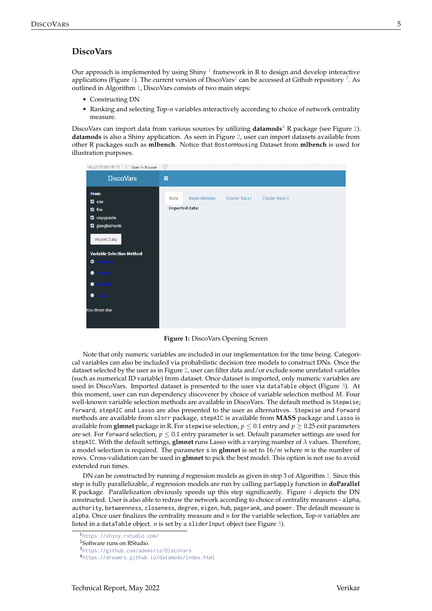## **DiscoVars**

Our approach is implemented by using Shiny  $^1$  $^1$  framework in R to design and develop interactive applications (Figure [1\)](#page-4-0). The current version of DiscoVars<sup>[2](#page-0-0)</sup> can be accessed at Github repository  $^3$  $^3$ . As outlined in Algorithm [1,](#page-2-0) DiscoVars consists of two main steps:

- Constructing DN
- Ranking and selecting Top-*n* variables interactively according to choice of network centrality measure.

DiscoVars can import data from various sources by utilizing **datamods**[4](#page-0-0) R package (see Figure [2\)](#page-5-0). **datamods** is also a Shiny application. As seen in Figure [2,](#page-5-0) user can import datasets available from other R packages such as **mlbench**. Notice that BostonHousing Dataset from **mlbench** is used for illustration purposes.

<span id="page-4-0"></span>

| http://127.0.0.1:6110   a Open in Browser   G                                                                                                                                                 |                                                                                    |
|-----------------------------------------------------------------------------------------------------------------------------------------------------------------------------------------------|------------------------------------------------------------------------------------|
| <b>DiscoVars</b>                                                                                                                                                                              | Ξ                                                                                  |
| <b>From</b><br>$\blacksquare$ env<br><b>Z</b> file<br><b>2</b> copypaste<br>2 googlesheets<br><b>Import Data</b><br><b>Variable Selection Method</b><br><b>O</b> Stepwise<br><b>•</b> Forward | Dependencies<br>Cluster Data I<br>Cluster Data II<br>Data<br><b>Imported data:</b> |
| StepAIC<br>$\bullet$ Lasso                                                                                                                                                                    |                                                                                    |
| You chose stw                                                                                                                                                                                 |                                                                                    |

**Figure 1:** DiscoVars Opening Screen

Note that only numeric variables are included in our implementation for the time being. Categorical variables can also be included via probabilistic decision tree models to construct DNs. Once the dataset selected by the user as in Figure [2,](#page-5-0) user can filter data and/or exclude some unrelated variables (such as numerical ID variable) from dataset. Once dataset is imported, only numeric variables are used in DiscoVars. Imported dataset is presented to the user via dataTable object (Figure [3\)](#page-5-1). At this moment, user can run dependency discoverer by choice of variable selection method *M*. Four well-known variable selection methods are available in DiscoVars. The default method is Stepwise; Forward, stepAIC and Lasso are also presented to the user as alternatives. Stepwise and Forward methods are available from olsrr package, stepAIC is available from **MASS** package and Lasso is available from **glmnet** package in R. For stepwise selection,  $p \leq 0.1$  entry and  $p \geq 0.25$  exit parameters are set. For forward selection,  $p \leq 0.1$  entry parameter is set. Default parameter settings are used for stepAIC. With the default settings, **glmnet** runs Lasso with a varying number of *λ* values. Therefore, a model selection is required. The parameter s in **glmnet** is set to 16/*m* where *m* is the number of rows. Cross-validation can be used in **glmnet** to pick the best model. This option is not use to avoid extended run times.

DN can be constructed by running *d* regression models as given in step 3 of Algorithm [1.](#page-2-0) Since this step is fully parallelizable, *d* regression models are run by calling parSapply function in **doParallel** R package. Parallelization obviously speeds up this step significantly. Figure [4](#page-5-2) depicts the DN constructed. User is also able to redraw the network according to choice of centrality measures - alpha, authority, betweenness, closeness, degree, eigen, hub, pagerank, and power. The default measure is alpha. Once user finalizes the centrality measure and *n* for the variable selection, Top-*n* variables are listed in a dataTable object. *n* is set by a sliderInput object (see Figure [5\)](#page-6-0).

<sup>1</sup><https://shiny.rstudio.com/>

<sup>2</sup>Software runs on RStudio.

<sup>3</sup><https://github.com/ademiriz/DiscoVars> <sup>4</sup><https://dreamrs.github.io/datamods/index.html>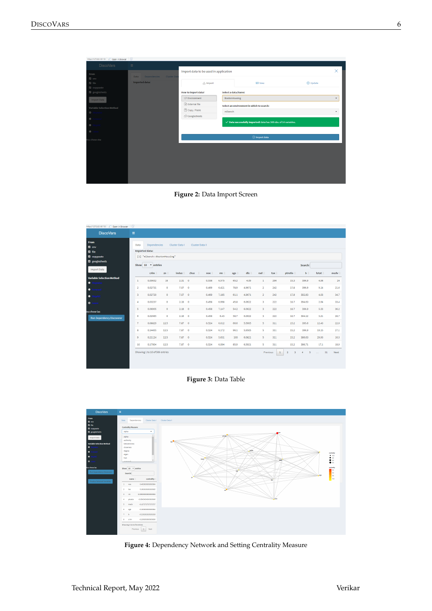<span id="page-5-0"></span>

| http://127.0.0.1:6110 3 Open in Browser               |                                     |                                       |                       |                                                                             |          |         |  |  |  |  |
|-------------------------------------------------------|-------------------------------------|---------------------------------------|-----------------------|-----------------------------------------------------------------------------|----------|---------|--|--|--|--|
| <b>DiscoVars</b>                                      | $\equiv$                            |                                       |                       |                                                                             |          |         |  |  |  |  |
| From                                                  | Cluster Dat<br>Data<br>Dependencies | Import data to be used in application |                       |                                                                             |          |         |  |  |  |  |
| $\Box$ env<br>$\boxtimes$ file                        | <b>Imported data:</b>               | Import                                |                       | El View                                                                     | O Update |         |  |  |  |  |
| <b>Z</b> copypaste<br>2 googlesheets                  |                                     | <b>How to import data?</b>            | Select a data, frame: |                                                                             |          |         |  |  |  |  |
| Import Data                                           |                                     | Environment                           | <b>BostonHousing</b>  |                                                                             |          | ۰       |  |  |  |  |
|                                                       |                                     | External file                         |                       | Select an environment in which to search:                                   |          |         |  |  |  |  |
| <b>Variable Selection Method</b><br>$\circ$<br>epwise |                                     | Copy / Paste                          | mlbench               |                                                                             |          | $\cdot$ |  |  |  |  |
| <b>C</b> Forward                                      |                                     | <b>CD</b> Googlesheets                |                       |                                                                             |          |         |  |  |  |  |
| $\bullet$                                             |                                     |                                       |                       | $\checkmark$ Data successfully imported! data has 506 obs. of 14 variables. |          |         |  |  |  |  |
| $\qquad \qquad \bullet$                               |                                     |                                       |                       |                                                                             |          |         |  |  |  |  |
| You chose stw                                         |                                     |                                       |                       | <b>⊙</b> Import data                                                        |          |         |  |  |  |  |
|                                                       |                                     |                                       |                       |                                                                             |          |         |  |  |  |  |
|                                                       |                                     |                                       |                       |                                                                             |          |         |  |  |  |  |
|                                                       |                                     |                                       |                       |                                                                             |          |         |  |  |  |  |
|                                                       |                                     |                                       |                       |                                                                             |          |         |  |  |  |  |
|                                                       |                                     |                                       |                       |                                                                             |          |         |  |  |  |  |
|                                                       |                                     |                                       |                       |                                                                             |          |         |  |  |  |  |
|                                                       |                                     |                                       |                       |                                                                             |          |         |  |  |  |  |



<span id="page-5-1"></span>

| http://127.0.0.1:6110   a Open in Browser     | G              |                                                                            |                |              |                      |        |                |  |      |        |                         |                          |                                           |        |              |      |
|-----------------------------------------------|----------------|----------------------------------------------------------------------------|----------------|--------------|----------------------|--------|----------------|--|------|--------|-------------------------|--------------------------|-------------------------------------------|--------|--------------|------|
| <b>DiscoVars</b>                              | $\equiv$       |                                                                            |                |              |                      |        |                |  |      |        |                         |                          |                                           |        |              |      |
| <b>From</b><br><b>Z</b> env<br><b>Z</b> file  | Data           | Dependencies<br>Cluster Data I<br>Cluster Data II<br><b>Imported data:</b> |                |              |                      |        |                |  |      |        |                         |                          |                                           |        |              |      |
| <b>Z</b> copypaste                            |                | [1] "mlbench::BostonHousing"                                               |                |              |                      |        |                |  |      |        |                         |                          |                                           |        |              |      |
| <b>Z</b> googlesheets                         | Show           | 10 * entries<br>Search:                                                    |                |              |                      |        |                |  |      |        |                         |                          |                                           |        |              |      |
| <b>Import Data</b>                            |                |                                                                            |                |              |                      |        |                |  |      |        |                         |                          |                                           |        |              |      |
|                                               |                | crim                                                                       | $\mathsf{z}$ n | <i>indus</i> | chas                 | $n$ ox | rm             |  | age  | dis    | rad                     | tax                      | ptratio                                   | b      | <b>Istat</b> | medv |
| <b>Variable Selection Method</b><br>$\bullet$ | ٥              | 0.00632                                                                    | 18             | 2.31         | $\circ$              |        | 6.575<br>0.538 |  | 65.2 | 4.09   | 1                       | 296                      | 15.3                                      | 396.9  | 4.98         | 24   |
| $\bullet$                                     | $\overline{2}$ | 0.02731                                                                    | $\bullet$      | 7.07         | $\ddot{\phantom{0}}$ |        | 0.469<br>6.421 |  | 78.9 | 4.9671 | $\overline{2}$          | 242                      | 17.8                                      | 396.9  | 9.14         | 21.6 |
| $\bullet$                                     | 3              | 0.02729                                                                    | $\bullet$      | 7.07         | $\bullet$            |        | 0.469<br>7.185 |  | 61.1 | 4.9671 | $\overline{2}$          | 242                      | 17.8                                      | 392.83 | 4.03         | 34.7 |
| $\bullet$                                     | 4              | 0.03237                                                                    | $\circ$        | 2.18         | $\bullet$            |        | 0,458<br>6,998 |  | 45.8 | 6,0622 | $\overline{\mathbf{3}}$ | 222                      | 18.7                                      | 394.63 | 2.94         | 33.4 |
| ou chose las                                  | 5              | 0.06905                                                                    | $\circ$        | 2.18         | $\bullet$            |        | 0.458<br>7.147 |  | 54.2 | 6.0622 | 3                       | 222                      | 18.7                                      | 396.9  | 5.33         | 36.2 |
| <b>Run Dependency Discoverer</b>              | 6              | 0.02985                                                                    | $\mathbf{0}$   | 2.18         | $\circ$              |        | 0.458<br>6.43  |  | 58.7 | 6.0622 | 3                       | 222                      | 18.7                                      | 394.12 | 5.21         | 28.7 |
|                                               | 7              | 0.08829                                                                    | 12.5           | 7.87         | $\circ$              |        | 0.524<br>6.012 |  | 66.6 | 5.5605 | 5                       | 311                      | 15.2                                      | 395.6  | 12.43        | 22.9 |
|                                               | 8              | 0.14455                                                                    | 12.5           | 7,87         | $\bullet$            |        | 0.524<br>6.172 |  | 96.1 | 5.9505 | 5                       | 311                      | 15.2                                      | 396.9  | 19.15        | 27.1 |
|                                               | 9              | 0.21124                                                                    | 12.5           | 7,87         | $\ddot{\phantom{0}}$ |        | 0.524<br>5.631 |  | 100  | 6.0821 | 5 <sup>1</sup>          | 311                      | 15.2                                      | 386.63 | 29.93        | 16.5 |
|                                               | 10             | 0.17004                                                                    | 12.5           | 7,87         | $\bullet$            |        | 0.524<br>6,004 |  | 85.9 | 6,5921 | 5                       | 311                      | 15.2                                      | 386.71 | 17.1         | 18.9 |
|                                               |                | Showing 1 to 10 of 506 entries                                             |                |              |                      |        |                |  |      |        |                         | Previous<br>$\mathbf{1}$ | $\overline{2}$<br>$\overline{\mathbf{3}}$ | 5<br>4 | 51<br>$\sim$ | Next |



<span id="page-5-2"></span>

**Figure 4:** Dependency Network and Setting Centrality Measure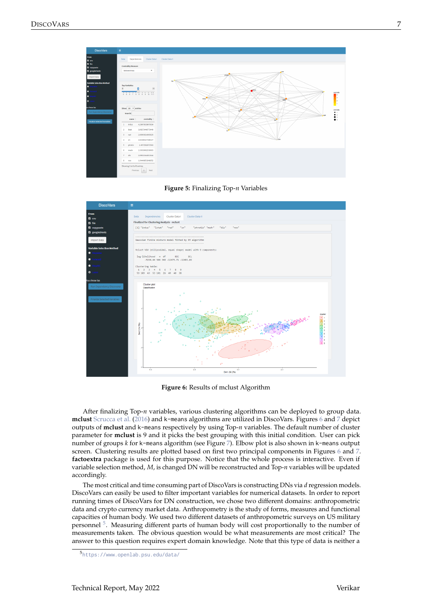<span id="page-6-2"></span><span id="page-6-0"></span>



<span id="page-6-1"></span>

**Figure 6:** Results of mclust Algorithm

After finalizing Top-*n* variables, various clustering algorithms can be deployed to group data. **mclust** [Scrucca et al.](#page-12-14) [\(2016\)](#page-12-14) and k-means algorithms are utilized in DiscoVars. Figures [6](#page-6-1) and [7](#page-7-0) depict outputs of **mclust** and k-means respectively by using Top-*n* variables. The default number of cluster parameter for **mclust** is 9 and it picks the best grouping with this initial condition. User can pick number of groups *k* for k-means algorithm (see Figure [7\)](#page-7-0). Elbow plot is also shown in k-means output screen. Clustering results are plotted based on first two principal components in Figures [6](#page-6-1) and [7.](#page-7-0) **factoextra** package is used for this purpose. Notice that the whole process is interactive. Even if variable selection method, *M*, is changed DN will be reconstructed and Top-*n* variables will be updated accordingly.

The most critical and time consuming part of DiscoVars is constructing DNs via *d* regression models. DiscoVars can easily be used to filter important variables for numerical datasets. In order to report running times of DiscoVars for DN construction, we chose two different domains: anthropometric data and crypto currency market data. Anthropometry is the study of forms, measures and functional capacities of human body. We used two different datasets of anthropometric surveys on US military personnel <sup>[5](#page-0-0)</sup>. Measuring different parts of human body will cost proportionally to the number of measurements taken. The obvious question would be what measurements are most critical? The answer to this question requires expert domain knowledge. Note that this type of data is neither a

<sup>5</sup><https://www.openlab.psu.edu/data/>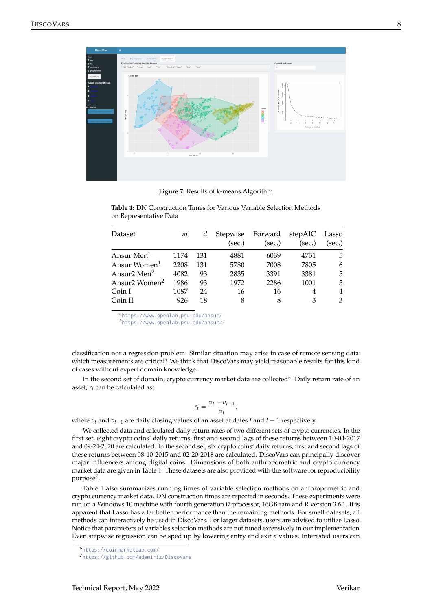<span id="page-7-0"></span>

**Figure 7:** Results of k-means Algorithm

| Dataset                             | m    | d   | Stepwise<br>(sec.) | Forward<br>(sec.) | stepAIC<br>(sec.) | Lasso<br>(sec.) |
|-------------------------------------|------|-----|--------------------|-------------------|-------------------|-----------------|
| Ansur Men <sup>1</sup>              | 1174 | 131 | 4881               | 6039              | 4751              | 5               |
| Ansur Women <sup>1</sup>            | 2208 | 131 | 5780               | 7008              | 7805              | 6               |
| Ansur <sub>2</sub> Men <sup>2</sup> | 4082 | 93  | 2835               | 3391              | 3381              | 5               |
| Ansur2 Women <sup>2</sup>           | 1986 | 93  | 1972               | 2286              | 1001              | 5               |
| Coin I                              | 1087 | 24  | 16                 | 16                | 4                 | 4               |
| Coin II                             | 926  | 18  | 8                  | 8                 | 3                 | 3               |

<span id="page-7-1"></span>**Table 1:** DN Construction Times for Various Variable Selection Methods on Representative Data

*<sup>a</sup>*<https://www.openlab.psu.edu/ansur/>

*<sup>b</sup>*<https://www.openlab.psu.edu/ansur2/>

classification nor a regression problem. Similar situation may arise in case of remote sensing data: which measurements are critical? We think that DiscoVars may yield reasonable results for this kind of cases without expert domain knowledge.

In the second set of domain, crypto currency market data are collected $^6$  $^6$ . Daily return rate of an asset, *rt* can be calculated as:

$$
r_t = \frac{v_t - v_{t-1}}{v_t},
$$

where *v<sup>t</sup>* and *vt*−<sup>1</sup> are daily closing values of an asset at dates *t* and *t* − 1 respectively.

We collected data and calculated daily return rates of two different sets of crypto currencies. In the first set, eight crypto coins' daily returns, first and second lags of these returns between 10-04-2017 and 09-24-2020 are calculated. In the second set, six crypto coins' daily returns, first and second lags of these returns between 08-10-2015 and 02-20-2018 are calculated. DiscoVars can principally discover major influencers among digital coins. Dimensions of both anthropometric and crypto currency market data are given in Table [1.](#page-7-1) These datasets are also provided with the software for reproducibility purpose $^7$  $^7$ .

Table [1](#page-7-1) also summarizes running times of variable selection methods on anthropometric and crypto currency market data. DN construction times are reported in seconds. These experiments were run on a Windows 10 machine with fourth generation i7 processor, 16GB ram and R version 3.6.1. It is apparent that Lasso has a far better performance than the remaining methods. For small datasets, all methods can interactively be used in DiscoVars. For larger datasets, users are advised to utilize Lasso. Notice that parameters of variables selection methods are not tuned extensively in our implementation. Even stepwise regression can be sped up by lowering entry and exit *p* values. Interested users can

<sup>6</sup><https://coinmarketcap.com/>

<sup>7</sup><https://github.com/ademiriz/DiscoVars>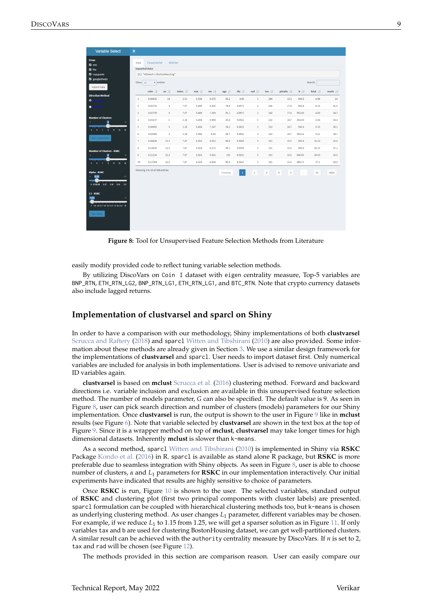<span id="page-8-2"></span><span id="page-8-1"></span>

| <b>Variable Select</b>                                                                                                                                                                     | $\equiv$                                  |                                                                                     |                        |              |                |                |              |                  |                                                    |             |                          |                  |               |              |
|--------------------------------------------------------------------------------------------------------------------------------------------------------------------------------------------|-------------------------------------------|-------------------------------------------------------------------------------------|------------------------|--------------|----------------|----------------|--------------|------------------|----------------------------------------------------|-------------|--------------------------|------------------|---------------|--------------|
| From<br><b>Z</b> env<br><b>z</b> file<br><b>Z</b> copypaste<br><b>Z</b> googlesheets                                                                                                       | Data<br>Show 10                           | ClusterVarSel<br><b>Imported data:</b><br>[1] "mlbench::BostonHousing"<br>v entries | <b>RSKCSel</b>         |              |                |                |              |                  |                                                    |             |                          |                  | Search:       |              |
| <b>Import Data</b>                                                                                                                                                                         |                                           | crim I                                                                              | zn 11                  | indus $\pm$  | $\log$         | rm             | age 1        | dis              | rad [#                                             | tax If      | ptratio [                | b I#             | Istat I       | medv If      |
| <b>Direction Method</b><br>$\bullet$<br>ckward                                                                                                                                             | $\mathbf{1}$                              | 0.00632                                                                             | 18                     | 2.31         | 0.538          | 6.575          | 65.2         | 4.09             | $\mathbf{1}$                                       | 296         | 15.3                     | 396.9            | 4.98          | 24           |
| oward<br>$\bullet$                                                                                                                                                                         | $\overline{2}$<br>$\overline{\mathbf{3}}$ | 0.02731<br>0.02729                                                                  | $\bullet$<br>$\bullet$ | 7.07<br>7.07 | 0.469<br>0.469 | 6.421<br>7.185 | 78.9<br>61.1 | 4.9671<br>4.9671 | $\overline{2}$<br>$\overline{2}$                   | 242<br>242  | 17.8<br>17.8             | 396.9<br>392.83  | 9.14<br>4.03  | 21.6<br>34.7 |
| <b>Number of Clusters</b><br>15<br>$\mathsf{3}$<br>$\overline{9}$                                                                                                                          | 4                                         | 0.03237                                                                             | $\bullet$              | 2.18         | 0.458          | 6.998          | 45.8         | 6.0622           | $\overline{\mathbf{3}}$                            | 222         | 18.7                     | 394.63           | 2.94          | 33.4         |
| $-5$<br>7.9.11<br>$43^\circ$<br>$-15$<br>3                                                                                                                                                 | 5                                         | 0.06905                                                                             | $\bullet$              | 2.18         | 0.458          | 7,147          | 54.2         | 6.0622           | $\overline{\mathbf{3}}$                            | 222         | 18.7                     | 396.9            | 5.33          | 36.2         |
| Run clustVarSel                                                                                                                                                                            | 6<br>$\mathbf{7}$                         | 0.02985<br>0.08829                                                                  | $\bullet$<br>12.5      | 2.18<br>7,87 | 0.458<br>0.524 | 6.43<br>6.012  | 58.7<br>66.6 | 6.0622<br>5.5605 | $\overline{\mathbf{3}}$<br>$\overline{5}$          | 222<br>311  | 18.7<br>15.2             | 394.12<br>395.6  | 5.21<br>12.43 | 28.7<br>22.9 |
| <b>Number of Clusters - RSKC</b>                                                                                                                                                           | 8                                         | 0.14455                                                                             | 12.5                   | 7.87         | 0.524          | 6.172          | 96.1         | 5.9505           | 5                                                  | 311         | 15.2                     | 396.9            | 19.15         | 27.1         |
| $\overline{9}$<br>15<br>3<br>7.9.11<br>$13 - 15$                                                                                                                                           | 9<br>10                                   | 0.21124<br>0.17004                                                                  | 12.5<br>12.5           | 7.87<br>7.87 | 0.524<br>0.524 | 5.631<br>6,004 | 100<br>85.9  | 6.0821<br>6.5921 | $\overline{\mathbf{5}}$<br>$\overline{\mathbf{5}}$ | 311<br>311  | 15.2<br>15.2             | 386.63<br>386,71 | 29.93<br>17.1 | 16.5<br>18.9 |
| $-5$<br>a.<br><b>Alpha - RSKC</b><br>0.05<br>$\bullet$<br>0.3<br>$0.12$ $0.18$ $0.24$<br>0.030.08<br>03<br>L1 - RSKC<br>10<br>1.25<br>1 1.9 2.8 3.7 4.6 5.5 6.4 7.3 8.2 9.1 10<br>Run RSKC |                                           | Showing 1 to 10 of 506 entries                                                      |                        |              |                |                | Previous     | $\vert$ 1        | $\bar{2}$                                          | $3 \quad 4$ | $\overline{\phantom{a}}$ | $\sim$           | 51            | Next         |

**Figure 8:** Tool for Unsupervised Feature Selection Methods from Literature

easily modify provided code to reflect tuning variable selection methods.

By utilizing DiscoVars on Coin I dataset with eigen centrality measure, Top-5 variables are BNP\_RTN, ETH\_RTN\_LG2, BNP\_RTN\_LG1, ETH\_RTN\_LG1, and BTC\_RTN. Note that crypto currency datasets also include lagged returns.

### <span id="page-8-0"></span>**Implementation of clustvarsel and sparcl on Shiny**

In order to have a comparison with our methodology, Shiny implementations of both **clustvarsel** [Scrucca and Raftery](#page-12-13) [\(2018\)](#page-12-13) and sparcl [Witten and Tibshirani](#page-12-15) [\(2010\)](#page-12-15) are also provided. Some information about these methods are already given in Section [3.](#page-3-0) We use a similar design framework for the implementations of **clustvarsel** and sparcl. User needs to import dataset first. Only numerical variables are included for analysis in both implementations. User is advised to remove univariate and ID variables again.

**clustvarsel** is based on **mclust** [Scrucca et al.](#page-12-14) [\(2016\)](#page-12-14) clustering method. Forward and backward directions i.e. variable inclusion and exclusion are available in this unsupervised feature selection method. The number of models parameter, *G* can also be specified. The default value is 9. As seen in Figure [8,](#page-8-1) user can pick search direction and number of clusters (models) parameters for our Shiny implementation. Once **clustvarsel** is run, the output is shown to the user in Figure [9](#page-9-0) like in **mclust** results (see Figure [6\)](#page-6-1). Note that variable selected by **clustvarsel** are shown in the text box at the top of Figure [9.](#page-9-0) Since it is a wrapper method on top of **mclust**, **clustvarsel** may take longer times for high dimensional datasets. Inherently **mclust** is slower than k-means.

As a second method, sparcl [Witten and Tibshirani](#page-12-15) [\(2010\)](#page-12-15) is implemented in Shiny via **RSKC** Package [Kondo et al.](#page-12-16) [\(2016\)](#page-12-16) in R. sparcl is available as stand alone R package, but **RSKC** is more preferable due to seamless integration with Shiny objects. As seen in Figure [8,](#page-8-1) user is able to choose number of clusters, *α* and *L*<sup>1</sup> parameters for **RSKC** in our implementation interactively. Our initial experiments have indicated that results are highly sensitive to choice of parameters.

Once **RSKC** is run, Figure [10](#page-9-1) is shown to the user. The selected variables, standard output of **RSKC** and clustering plot (first two principal components with cluster labels) are presented. sparcl formulation can be coupled with hierarchical clustering methods too, but k-means is chosen as underlying clustering method. As user changes *L*<sup>1</sup> parameter, different variables may be chosen. For example, if we reduce *L*<sup>1</sup> to 1.15 from 1.25, we will get a sparser solution as in Figure [11.](#page-10-0) If only variables tax and b are used for clustering BostonHousing dataset, we can get well-partitioned clusters. A similar result can be achieved with the authority centrality measure by DiscoVars. If *n* is set to 2, tax and rad will be chosen (see Figure [12\)](#page-10-1).

The methods provided in this section are comparison reason. User can easily compare our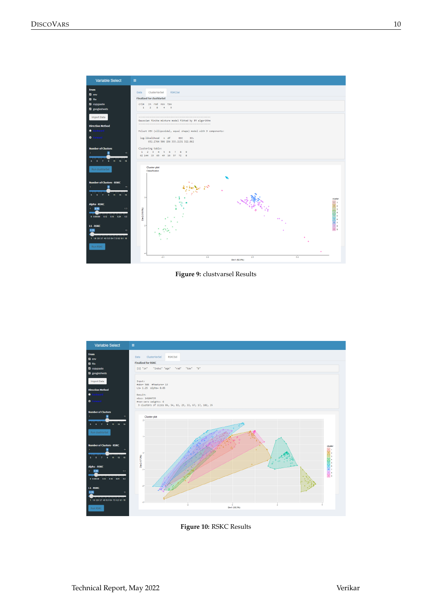<span id="page-9-0"></span>

**Figure 9:** clustvarsel Results

<span id="page-9-1"></span>

**Figure 10:** RSKC Results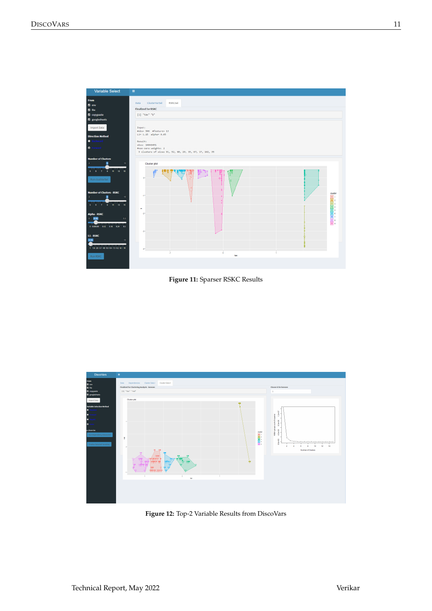<span id="page-10-0"></span>

**Figure 11:** Sparser RSKC Results

<span id="page-10-1"></span>

**Figure 12:** Top-2 Variable Results from DiscoVars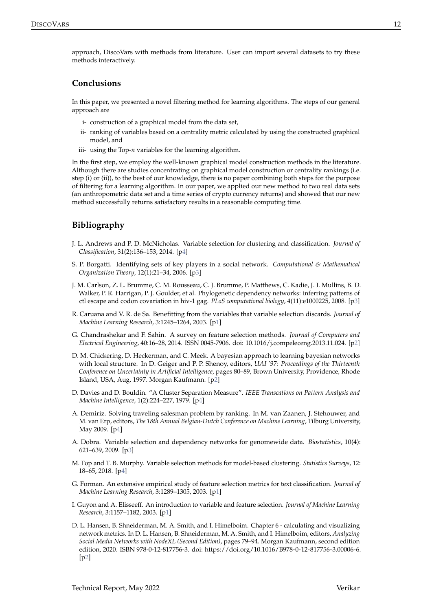approach, DiscoVars with methods from literature. User can import several datasets to try these methods interactively.

# <span id="page-11-5"></span>**Conclusions**

In this paper, we presented a novel filtering method for learning algorithms. The steps of our general approach are

- i- construction of a graphical model from the data set,
- ii- ranking of variables based on a centrality metric calculated by using the constructed graphical model, and
- iii- using the Top-*n* variables for the learning algorithm.

In the first step, we employ the well-known graphical model construction methods in the literature. Although there are studies concentrating on graphical model construction or centrality rankings (i.e. step (i) or (ii)), to the best of our knowledge, there is no paper combining both steps for the purpose of filtering for a learning algorithm. In our paper, we applied our new method to two real data sets (an anthropometric data set and a time series of crypto currency returns) and showed that our new method successfully returns satisfactory results in a reasonable computing time.

# **Bibliography**

- <span id="page-11-13"></span>J. L. Andrews and P. D. McNicholas. Variable selection for clustering and classification. *Journal of Classification*, 31(2):136–153, 2014. [[p4\]](#page-3-2)
- <span id="page-11-9"></span>S. P. Borgatti. Identifying sets of key players in a social network. *Computational & Mathematical Organization Theory*, 12(1):21–34, 2006. [[p3\]](#page-2-1)
- <span id="page-11-7"></span>J. M. Carlson, Z. L. Brumme, C. M. Rousseau, C. J. Brumme, P. Matthews, C. Kadie, J. I. Mullins, B. D. Walker, P. R. Harrigan, P. J. Goulder, et al. Phylogenetic dependency networks: inferring patterns of ctl escape and codon covariation in hiv-1 gag. *PLoS computational biology*, 4(11):e1000225, 2008. [[p3\]](#page-2-1)
- <span id="page-11-1"></span>R. Caruana and V. R. de Sa. Benefitting from the variables that variable selection discards. *Journal of Machine Learning Research*, 3:1245–1264, 2003. [[p1\]](#page-0-1)
- <span id="page-11-3"></span>G. Chandrashekar and F. Sahin. A survey on feature selection methods. *Journal of Computers and Electrical Engineering*, 40:16–28, 2014. ISSN 0045-7906. doi: 10.1016/j.compeleceng.2013.11.024. [[p2\]](#page-1-1)
- <span id="page-11-6"></span>D. M. Chickering, D. Heckerman, and C. Meek. A bayesian approach to learning bayesian networks with local structure. In D. Geiger and P. P. Shenoy, editors, *UAI '97: Proceedings of the Thirteenth Conference on Uncertainty in Artificial Intelligence*, pages 80–89, Brown University, Providence, Rhode Island, USA, Aug. 1997. Morgan Kaufmann. [[p2\]](#page-1-1)
- <span id="page-11-11"></span>D. Davies and D. Bouldin. "A Cluster Separation Measure". *IEEE Transcations on Pattern Analysis and Machine Intelligence*, 1(2):224–227, 1979. [[p4\]](#page-3-2)
- <span id="page-11-10"></span>A. Demiriz. Solving traveling salesman problem by ranking. In M. van Zaanen, J. Stehouwer, and M. van Erp, editors, *The 18th Annual Belgian-Dutch Conference on Machine Learning*, Tilburg University, May 2009. [[p4\]](#page-3-2)
- <span id="page-11-8"></span>A. Dobra. Variable selection and dependency networks for genomewide data. *Biostatistics*, 10(4): 621–639, 2009. [[p3\]](#page-2-1)
- <span id="page-11-12"></span>M. Fop and T. B. Murphy. Variable selection methods for model-based clustering. *Statistics Surveys*, 12: 18–65, 2018. [[p4\]](#page-3-2)
- <span id="page-11-2"></span>G. Forman. An extensive empirical study of feature selection metrics for text classification. *Journal of Machine Learning Research*, 3:1289–1305, 2003. [[p1\]](#page-0-1)
- <span id="page-11-0"></span>I. Guyon and A. Elisseeff. An introduction to variable and feature selection. *Journal of Machine Learning Research*, 3:1157–1182, 2003. [[p1\]](#page-0-1)
- <span id="page-11-4"></span>D. L. Hansen, B. Shneiderman, M. A. Smith, and I. Himelboim. Chapter 6 - calculating and visualizing network metrics. In D. L. Hansen, B. Shneiderman, M. A. Smith, and I. Himelboim, editors, *Analyzing Social Media Networks with NodeXL (Second Edition)*, pages 79–94. Morgan Kaufmann, second edition edition, 2020. ISBN 978-0-12-817756-3. doi: https://doi.org/10.1016/B978-0-12-817756-3.00006-6. [[p2\]](#page-1-1)